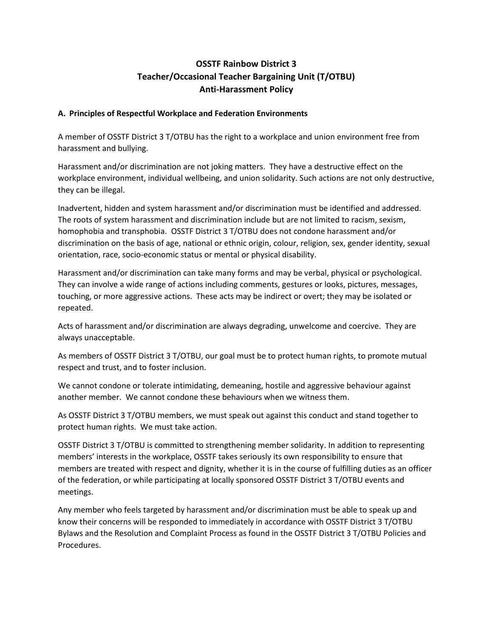# **OSSTF Rainbow District 3 Teacher/Occasional Teacher Bargaining Unit (T/OTBU) Anti-Harassment Policy**

### **A. Principles of Respectful Workplace and Federation Environments**

A member of OSSTF District 3 T/OTBU has the right to a workplace and union environment free from harassment and bullying.

Harassment and/or discrimination are not joking matters. They have a destructive effect on the workplace environment, individual wellbeing, and union solidarity. Such actions are not only destructive, they can be illegal.

Inadvertent, hidden and system harassment and/or discrimination must be identified and addressed. The roots of system harassment and discrimination include but are not limited to racism, sexism, homophobia and transphobia. OSSTF District 3 T/OTBU does not condone harassment and/or discrimination on the basis of age, national or ethnic origin, colour, religion, sex, gender identity, sexual orientation, race, socio-economic status or mental or physical disability.

Harassment and/or discrimination can take many forms and may be verbal, physical or psychological. They can involve a wide range of actions including comments, gestures or looks, pictures, messages, touching, or more aggressive actions. These acts may be indirect or overt; they may be isolated or repeated.

Acts of harassment and/or discrimination are always degrading, unwelcome and coercive. They are always unacceptable.

As members of OSSTF District 3 T/OTBU, our goal must be to protect human rights, to promote mutual respect and trust, and to foster inclusion.

We cannot condone or tolerate intimidating, demeaning, hostile and aggressive behaviour against another member. We cannot condone these behaviours when we witness them.

As OSSTF District 3 T/OTBU members, we must speak out against this conduct and stand together to protect human rights. We must take action.

OSSTF District 3 T/OTBU is committed to strengthening member solidarity. In addition to representing members' interests in the workplace, OSSTF takes seriously its own responsibility to ensure that members are treated with respect and dignity, whether it is in the course of fulfilling duties as an officer of the federation, or while participating at locally sponsored OSSTF District 3 T/OTBU events and meetings.

Any member who feels targeted by harassment and/or discrimination must be able to speak up and know their concerns will be responded to immediately in accordance with OSSTF District 3 T/OTBU Bylaws and the Resolution and Complaint Process as found in the OSSTF District 3 T/OTBU Policies and Procedures.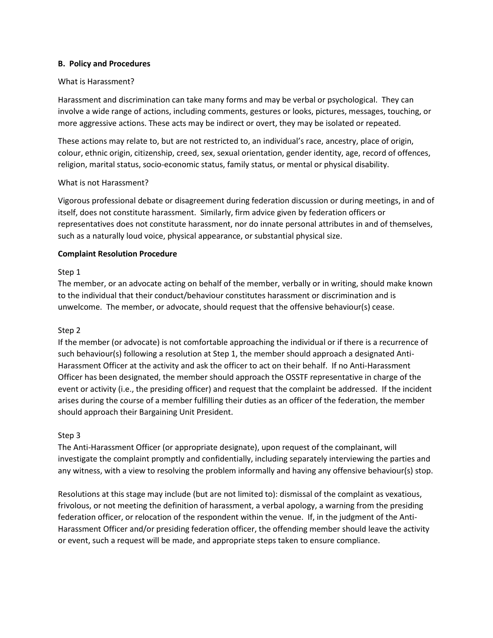#### **B. Policy and Procedures**

#### What is Harassment?

Harassment and discrimination can take many forms and may be verbal or psychological. They can involve a wide range of actions, including comments, gestures or looks, pictures, messages, touching, or more aggressive actions. These acts may be indirect or overt, they may be isolated or repeated.

These actions may relate to, but are not restricted to, an individual's race, ancestry, place of origin, colour, ethnic origin, citizenship, creed, sex, sexual orientation, gender identity, age, record of offences, religion, marital status, socio-economic status, family status, or mental or physical disability.

#### What is not Harassment?

Vigorous professional debate or disagreement during federation discussion or during meetings, in and of itself, does not constitute harassment. Similarly, firm advice given by federation officers or representatives does not constitute harassment, nor do innate personal attributes in and of themselves, such as a naturally loud voice, physical appearance, or substantial physical size.

### **Complaint Resolution Procedure**

#### Step 1

The member, or an advocate acting on behalf of the member, verbally or in writing, should make known to the individual that their conduct/behaviour constitutes harassment or discrimination and is unwelcome. The member, or advocate, should request that the offensive behaviour(s) cease.

### Step 2

If the member (or advocate) is not comfortable approaching the individual or if there is a recurrence of such behaviour(s) following a resolution at Step 1, the member should approach a designated Anti-Harassment Officer at the activity and ask the officer to act on their behalf. If no Anti-Harassment Officer has been designated, the member should approach the OSSTF representative in charge of the event or activity (i.e., the presiding officer) and request that the complaint be addressed. If the incident arises during the course of a member fulfilling their duties as an officer of the federation, the member should approach their Bargaining Unit President.

#### Step 3

The Anti-Harassment Officer (or appropriate designate), upon request of the complainant, will investigate the complaint promptly and confidentially, including separately interviewing the parties and any witness, with a view to resolving the problem informally and having any offensive behaviour(s) stop.

Resolutions at this stage may include (but are not limited to): dismissal of the complaint as vexatious, frivolous, or not meeting the definition of harassment, a verbal apology, a warning from the presiding federation officer, or relocation of the respondent within the venue. If, in the judgment of the Anti-Harassment Officer and/or presiding federation officer, the offending member should leave the activity or event, such a request will be made, and appropriate steps taken to ensure compliance.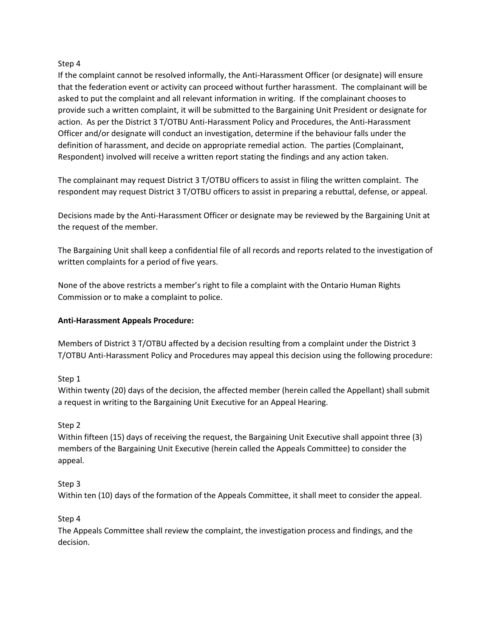### Step 4

If the complaint cannot be resolved informally, the Anti-Harassment Officer (or designate) will ensure that the federation event or activity can proceed without further harassment. The complainant will be asked to put the complaint and all relevant information in writing. If the complainant chooses to provide such a written complaint, it will be submitted to the Bargaining Unit President or designate for action. As per the District 3 T/OTBU Anti-Harassment Policy and Procedures, the Anti-Harassment Officer and/or designate will conduct an investigation, determine if the behaviour falls under the definition of harassment, and decide on appropriate remedial action. The parties (Complainant, Respondent) involved will receive a written report stating the findings and any action taken.

The complainant may request District 3 T/OTBU officers to assist in filing the written complaint. The respondent may request District 3 T/OTBU officers to assist in preparing a rebuttal, defense, or appeal.

Decisions made by the Anti-Harassment Officer or designate may be reviewed by the Bargaining Unit at the request of the member.

The Bargaining Unit shall keep a confidential file of all records and reports related to the investigation of written complaints for a period of five years.

None of the above restricts a member's right to file a complaint with the Ontario Human Rights Commission or to make a complaint to police.

#### **Anti-Harassment Appeals Procedure:**

Members of District 3 T/OTBU affected by a decision resulting from a complaint under the District 3 T/OTBU Anti-Harassment Policy and Procedures may appeal this decision using the following procedure:

### Step 1

Within twenty (20) days of the decision, the affected member (herein called the Appellant) shall submit a request in writing to the Bargaining Unit Executive for an Appeal Hearing.

### Step 2

Within fifteen (15) days of receiving the request, the Bargaining Unit Executive shall appoint three (3) members of the Bargaining Unit Executive (herein called the Appeals Committee) to consider the appeal.

#### Step 3

Within ten (10) days of the formation of the Appeals Committee, it shall meet to consider the appeal.

### Step 4

The Appeals Committee shall review the complaint, the investigation process and findings, and the decision.